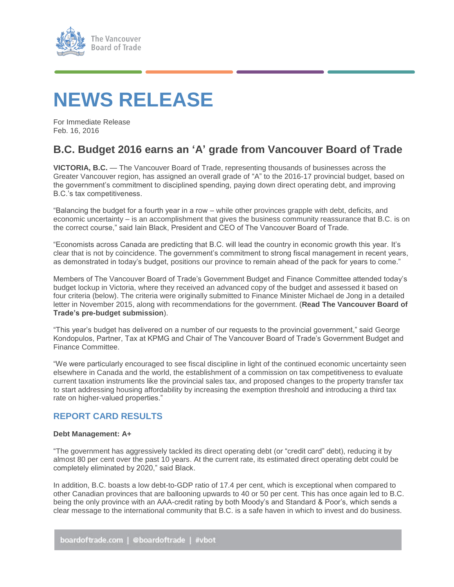

# **NEWS RELEASE**

For Immediate Release Feb. 16, 2016

## **B.C. Budget 2016 earns an 'A' grade from Vancouver Board of Trade**

**VICTORIA, B.C.** — The Vancouver Board of Trade, representing thousands of businesses across the Greater Vancouver region, has assigned an overall grade of "A" to the 2016-17 provincial budget, based on the government's commitment to disciplined spending, paying down direct operating debt, and improving B.C.'s tax competitiveness.

"Balancing the budget for a fourth year in a row – while other provinces grapple with debt, deficits, and economic uncertainty – is an accomplishment that gives the business community reassurance that B.C. is on the correct course," said Iain Black, President and CEO of The Vancouver Board of Trade.

"Economists across Canada are predicting that B.C. will lead the country in economic growth this year. It's clear that is not by coincidence. The government's commitment to strong fiscal management in recent years, as demonstrated in today's budget, positions our province to remain ahead of the pack for years to come."

Members of The Vancouver Board of Trade's Government Budget and Finance Committee attended today's budget lockup in Victoria, where they received an advanced copy of the budget and assessed it based on four criteria (below). The criteria were originally submitted to Finance Minister Michael de Jong in a detailed letter in November 2015, along with recommendations for the government. (**[Read The Vancouver Board of](https://www.boardoftrade.com/files/pdf/bc-budget-submission-2016.pdf)  [Trade's pre-budget submission](https://www.boardoftrade.com/files/pdf/bc-budget-submission-2016.pdf)**).

"This year's budget has delivered on a number of our requests to the provincial government," said George Kondopulos, Partner, Tax at KPMG and Chair of The Vancouver Board of Trade's Government Budget and Finance Committee.

"We were particularly encouraged to see fiscal discipline in light of the continued economic uncertainty seen elsewhere in Canada and the world, the establishment of a commission on tax competitiveness to evaluate current taxation instruments like the provincial sales tax, and proposed changes to the property transfer tax to start addressing housing affordability by increasing the exemption threshold and introducing a third tax rate on higher-valued properties."

### **REPORT CARD RESULTS**

#### **Debt Management: A+**

"The government has aggressively tackled its direct operating debt (or "credit card" debt), reducing it by almost 80 per cent over the past 10 years. At the current rate, its estimated direct operating debt could be completely eliminated by 2020," said Black.

In addition, B.C. boasts a low debt-to-GDP ratio of 17.4 per cent, which is exceptional when compared to other Canadian provinces that are ballooning upwards to 40 or 50 per cent. This has once again led to B.C. being the only province with an AAA-credit rating by both Moody's and Standard & Poor's, which sends a clear message to the international community that B.C. is a safe haven in which to invest and do business.